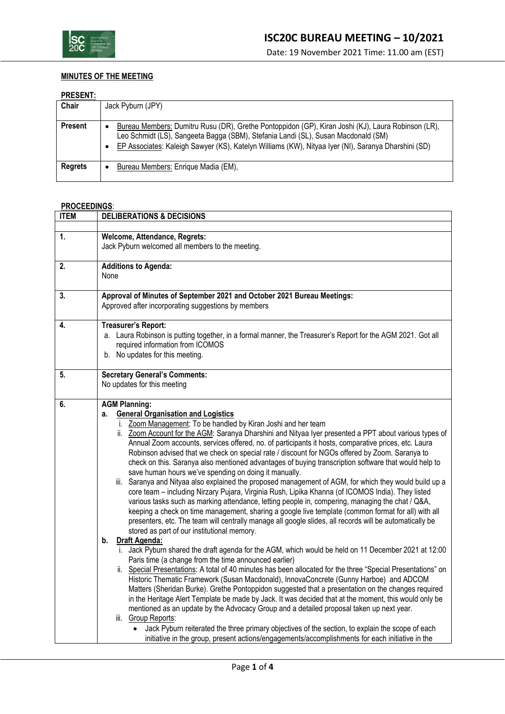

Date: 19 November 2021 Time: 11.00 am (EST)

# **MINUTES OF THE MEETING**

## **PRESENT:**

|                | .                                                                                                                                                                                                                                                                                                                |  |  |  |
|----------------|------------------------------------------------------------------------------------------------------------------------------------------------------------------------------------------------------------------------------------------------------------------------------------------------------------------|--|--|--|
| Chair          | Jack Pyburn (JPY)                                                                                                                                                                                                                                                                                                |  |  |  |
| <b>Present</b> | Bureau Members: Dumitru Rusu (DR), Grethe Pontoppidon (GP), Kiran Joshi (KJ), Laura Robinson (LR),<br>٠<br>Leo Schmidt (LS), Sangeeta Bagga (SBM), Stefania Landi (SL), Susan Macdonald (SM)<br>EP Associates: Kaleigh Sawyer (KS), Katelyn Williams (KW), Nityaa Iyer (NI), Saranya Dharshini (SD)<br>$\bullet$ |  |  |  |
| <b>Regrets</b> | Bureau Members: Enrique Madia (EM),                                                                                                                                                                                                                                                                              |  |  |  |

# **PROCEEDINGS**:

| <b>ITEM</b> | <b>DELIBERATIONS &amp; DECISIONS</b>                                                                                                                                                                                                                                                                                                                                                                                                                                                                                                                                                                                                                                                                                                                                                                                                                                                                                                                                                                                                                                                                                                                                                                                                                                                                                                                                                                                                                                                                                                                                                                                                                                                                                                                                                                                                                                                                                                                                                                                                                                                                                                                            |  |  |
|-------------|-----------------------------------------------------------------------------------------------------------------------------------------------------------------------------------------------------------------------------------------------------------------------------------------------------------------------------------------------------------------------------------------------------------------------------------------------------------------------------------------------------------------------------------------------------------------------------------------------------------------------------------------------------------------------------------------------------------------------------------------------------------------------------------------------------------------------------------------------------------------------------------------------------------------------------------------------------------------------------------------------------------------------------------------------------------------------------------------------------------------------------------------------------------------------------------------------------------------------------------------------------------------------------------------------------------------------------------------------------------------------------------------------------------------------------------------------------------------------------------------------------------------------------------------------------------------------------------------------------------------------------------------------------------------------------------------------------------------------------------------------------------------------------------------------------------------------------------------------------------------------------------------------------------------------------------------------------------------------------------------------------------------------------------------------------------------------------------------------------------------------------------------------------------------|--|--|
|             |                                                                                                                                                                                                                                                                                                                                                                                                                                                                                                                                                                                                                                                                                                                                                                                                                                                                                                                                                                                                                                                                                                                                                                                                                                                                                                                                                                                                                                                                                                                                                                                                                                                                                                                                                                                                                                                                                                                                                                                                                                                                                                                                                                 |  |  |
| 1.          | Welcome, Attendance, Regrets:<br>Jack Pyburn welcomed all members to the meeting.                                                                                                                                                                                                                                                                                                                                                                                                                                                                                                                                                                                                                                                                                                                                                                                                                                                                                                                                                                                                                                                                                                                                                                                                                                                                                                                                                                                                                                                                                                                                                                                                                                                                                                                                                                                                                                                                                                                                                                                                                                                                               |  |  |
| 2.          | <b>Additions to Agenda:</b><br>None                                                                                                                                                                                                                                                                                                                                                                                                                                                                                                                                                                                                                                                                                                                                                                                                                                                                                                                                                                                                                                                                                                                                                                                                                                                                                                                                                                                                                                                                                                                                                                                                                                                                                                                                                                                                                                                                                                                                                                                                                                                                                                                             |  |  |
| 3.          | Approval of Minutes of September 2021 and October 2021 Bureau Meetings:<br>Approved after incorporating suggestions by members                                                                                                                                                                                                                                                                                                                                                                                                                                                                                                                                                                                                                                                                                                                                                                                                                                                                                                                                                                                                                                                                                                                                                                                                                                                                                                                                                                                                                                                                                                                                                                                                                                                                                                                                                                                                                                                                                                                                                                                                                                  |  |  |
| 4.          | Treasurer's Report:<br>a. Laura Robinson is putting together, in a formal manner, the Treasurer's Report for the AGM 2021. Got all<br>required information from ICOMOS<br>b. No updates for this meeting.                                                                                                                                                                                                                                                                                                                                                                                                                                                                                                                                                                                                                                                                                                                                                                                                                                                                                                                                                                                                                                                                                                                                                                                                                                                                                                                                                                                                                                                                                                                                                                                                                                                                                                                                                                                                                                                                                                                                                       |  |  |
| 5.          | <b>Secretary General's Comments:</b><br>No updates for this meeting                                                                                                                                                                                                                                                                                                                                                                                                                                                                                                                                                                                                                                                                                                                                                                                                                                                                                                                                                                                                                                                                                                                                                                                                                                                                                                                                                                                                                                                                                                                                                                                                                                                                                                                                                                                                                                                                                                                                                                                                                                                                                             |  |  |
| 6.          | <b>AGM Planning:</b><br><b>General Organisation and Logistics</b><br>а.<br>i. Zoom Management: To be handled by Kiran Joshi and her team<br>ii. Zoom Account for the AGM: Saranya Dharshini and Nityaa Iyer presented a PPT about various types of<br>Annual Zoom accounts, services offered, no. of participants it hosts, comparative prices, etc. Laura<br>Robinson advised that we check on special rate / discount for NGOs offered by Zoom. Saranya to<br>check on this. Saranya also mentioned advantages of buying transcription software that would help to<br>save human hours we've spending on doing it manually.<br>iii. Saranya and Nityaa also explained the proposed management of AGM, for which they would build up a<br>core team - including Nirzary Pujara, Virginia Rush, Lipika Khanna (of ICOMOS India). They listed<br>various tasks such as marking attendance, letting people in, compering, managing the chat / Q&A,<br>keeping a check on time management, sharing a google live template (common format for all) with all<br>presenters, etc. The team will centrally manage all google slides, all records will be automatically be<br>stored as part of our institutional memory.<br>Draft Agenda:<br>b.<br>i. Jack Pyburn shared the draft agenda for the AGM, which would be held on 11 December 2021 at 12:00<br>Paris time (a change from the time announced earlier)<br>ii. Special Presentations: A total of 40 minutes has been allocated for the three "Special Presentations" on<br>Historic Thematic Framework (Susan Macdonald), InnovaConcrete (Gunny Harboe) and ADCOM<br>Matters (Sheridan Burke). Grethe Pontoppidon suggested that a presentation on the changes required<br>in the Heritage Alert Template be made by Jack. It was decided that at the moment, this would only be<br>mentioned as an update by the Advocacy Group and a detailed proposal taken up next year.<br>Group Reports:<br>iii.<br>Jack Pyburn reiterated the three primary objectives of the section, to explain the scope of each<br>initiative in the group, present actions/engagements/accomplishments for each initiative in the |  |  |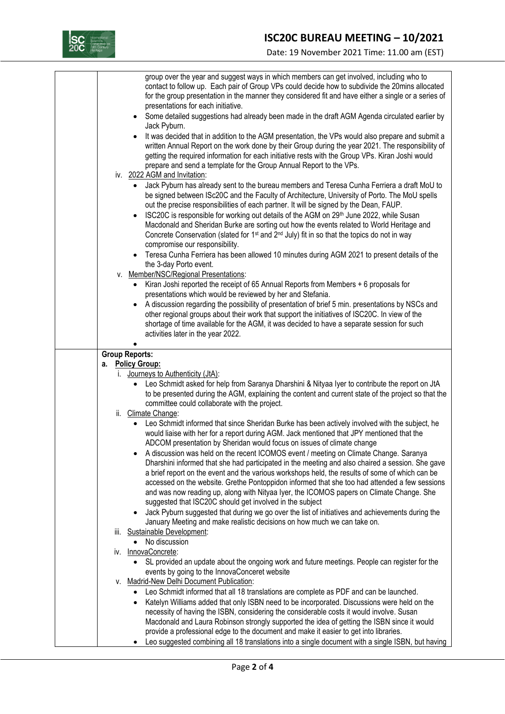

Date: 19 November 2021 Time: 11.00 am (EST)

|    | group over the year and suggest ways in which members can get involved, including who to<br>contact to follow up. Each pair of Group VPs could decide how to subdivide the 20mins allocated<br>for the group presentation in the manner they considered fit and have either a single or a series of<br>presentations for each initiative.<br>Some detailed suggestions had already been made in the draft AGM Agenda circulated earlier by<br>$\bullet$<br>Jack Pyburn.<br>It was decided that in addition to the AGM presentation, the VPs would also prepare and submit a<br>$\bullet$                                                             |
|----|------------------------------------------------------------------------------------------------------------------------------------------------------------------------------------------------------------------------------------------------------------------------------------------------------------------------------------------------------------------------------------------------------------------------------------------------------------------------------------------------------------------------------------------------------------------------------------------------------------------------------------------------------|
|    | written Annual Report on the work done by their Group during the year 2021. The responsibility of<br>getting the required information for each initiative rests with the Group VPs. Kiran Joshi would<br>prepare and send a template for the Group Annual Report to the VPs.<br>iv. 2022 AGM and Invitation:                                                                                                                                                                                                                                                                                                                                         |
|    | Jack Pyburn has already sent to the bureau members and Teresa Cunha Ferriera a draft MoU to<br>be signed between ISc20C and the Faculty of Architecture, University of Porto. The MoU spells<br>out the precise responsibilities of each partner. It will be signed by the Dean, FAUP.<br>ISC20C is responsible for working out details of the AGM on 29th June 2022, while Susan<br>$\bullet$<br>Macdonald and Sheridan Burke are sorting out how the events related to World Heritage and<br>Concrete Conservation (slated for 1 <sup>st</sup> and 2 <sup>nd</sup> July) fit in so that the topics do not in way<br>compromise our responsibility. |
|    | Teresa Cunha Ferriera has been allowed 10 minutes during AGM 2021 to present details of the<br>the 3-day Porto event.                                                                                                                                                                                                                                                                                                                                                                                                                                                                                                                                |
|    | v. Member/NSC/Regional Presentations:                                                                                                                                                                                                                                                                                                                                                                                                                                                                                                                                                                                                                |
|    | Kiran Joshi reported the receipt of 65 Annual Reports from Members + 6 proposals for<br>$\bullet$<br>presentations which would be reviewed by her and Stefania.                                                                                                                                                                                                                                                                                                                                                                                                                                                                                      |
|    | A discussion regarding the possibility of presentation of brief 5 min. presentations by NSCs and<br>other regional groups about their work that support the initiatives of ISC20C. In view of the<br>shortage of time available for the AGM, it was decided to have a separate session for such<br>activities later in the year 2022.                                                                                                                                                                                                                                                                                                                |
|    | <b>Group Reports:</b>                                                                                                                                                                                                                                                                                                                                                                                                                                                                                                                                                                                                                                |
|    | a. Policy Group:                                                                                                                                                                                                                                                                                                                                                                                                                                                                                                                                                                                                                                     |
| Ι. | Journeys to Authenticity (JtA):<br>Leo Schmidt asked for help from Saranya Dharshini & Nityaa Iyer to contribute the report on JtA<br>$\bullet$<br>to be presented during the AGM, explaining the content and current state of the project so that the<br>committee could collaborate with the project.<br>ii. Climate Change:                                                                                                                                                                                                                                                                                                                       |
|    | Leo Schmidt informed that since Sheridan Burke has been actively involved with the subject, he<br>would liaise with her for a report during AGM. Jack mentioned that JPY mentioned that the<br>ADCOM presentation by Sheridan would focus on issues of climate change                                                                                                                                                                                                                                                                                                                                                                                |
|    | A discussion was held on the recent ICOMOS event / meeting on Climate Change. Saranya<br>Dharshini informed that she had participated in the meeting and also chaired a session. She gave<br>a brief report on the event and the various workshops held, the results of some of which can be<br>accessed on the website. Grethe Pontoppidon informed that she too had attended a few sessions<br>and was now reading up, along with Nityaa Iyer, the ICOMOS papers on Climate Change. She<br>suggested that ISC20C should get involved in the subject                                                                                                |
|    | Jack Pyburn suggested that during we go over the list of initiatives and achievements during the<br>$\bullet$<br>January Meeting and make realistic decisions on how much we can take on.                                                                                                                                                                                                                                                                                                                                                                                                                                                            |
|    | iii. Sustainable Development:                                                                                                                                                                                                                                                                                                                                                                                                                                                                                                                                                                                                                        |
|    | No discussion<br>$\bullet$<br>iv. InnovaConcrete:                                                                                                                                                                                                                                                                                                                                                                                                                                                                                                                                                                                                    |
|    | SL provided an update about the ongoing work and future meetings. People can register for the                                                                                                                                                                                                                                                                                                                                                                                                                                                                                                                                                        |
| V. | events by going to the InnovaConceret website<br><b>Madrid-New Delhi Document Publication:</b>                                                                                                                                                                                                                                                                                                                                                                                                                                                                                                                                                       |
|    | Leo Schmidt informed that all 18 translations are complete as PDF and can be launched.                                                                                                                                                                                                                                                                                                                                                                                                                                                                                                                                                               |
|    | Katelyn Williams added that only ISBN need to be incorporated. Discussions were held on the                                                                                                                                                                                                                                                                                                                                                                                                                                                                                                                                                          |
|    | necessity of having the ISBN, considering the considerable costs it would involve. Susan<br>Macdonald and Laura Robinson strongly supported the idea of getting the ISBN since it would                                                                                                                                                                                                                                                                                                                                                                                                                                                              |
|    | provide a professional edge to the document and make it easier to get into libraries.                                                                                                                                                                                                                                                                                                                                                                                                                                                                                                                                                                |
|    | Leo suggested combining all 18 translations into a single document with a single ISBN, but having                                                                                                                                                                                                                                                                                                                                                                                                                                                                                                                                                    |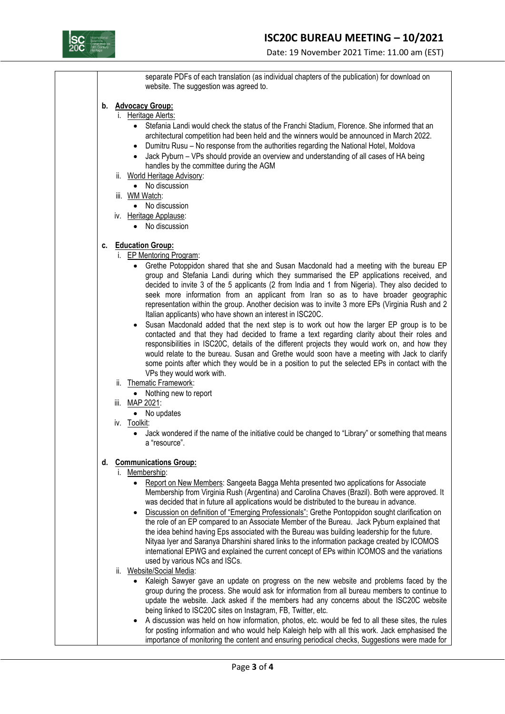

Date: 19 November 2021 Time: 11.00 am (EST)

separate PDFs of each translation (as individual chapters of the publication) for download on website. The suggestion was agreed to.

#### **b. Advocacy Group:**

- i. Heritage Alerts:
	- Stefania Landi would check the status of the Franchi Stadium, Florence. She informed that an architectural competition had been held and the winners would be announced in March 2022.
	- Dumitru Rusu No response from the authorities regarding the National Hotel, Moldova
	- Jack Pyburn VPs should provide an overview and understanding of all cases of HA being handles by the committee during the AGM
- ii. World Heritage Advisory:
	- No discussion
- iii. WM Watch:
- No discussion
- iv. Heritage Applause:
	- No discussion

#### **c. Education Group:**

- i. EP Mentoring Program:
	- Grethe Potoppidon shared that she and Susan Macdonald had a meeting with the bureau EP group and Stefania Landi during which they summarised the EP applications received, and decided to invite 3 of the 5 applicants (2 from India and 1 from Nigeria). They also decided to seek more information from an applicant from Iran so as to have broader geographic representation within the group. Another decision was to invite 3 more EPs (Virginia Rush and 2 Italian applicants) who have shown an interest in ISC20C.
	- Susan Macdonald added that the next step is to work out how the larger EP group is to be contacted and that they had decided to frame a text regarding clarity about their roles and responsibilities in ISC20C, details of the different projects they would work on, and how they would relate to the bureau. Susan and Grethe would soon have a meeting with Jack to clarify some points after which they would be in a position to put the selected EPs in contact with the VPs they would work with.
- ii. Thematic Framework:
	- Nothing new to report
- iii. MAP 2021:
	- No updates
- iv. Toolkit:
	- Jack wondered if the name of the initiative could be changed to "Library" or something that means a "resource".

## **d. Communications Group:**

#### i. Membership:

- Report on New Members: Sangeeta Bagga Mehta presented two applications for Associate Membership from Virginia Rush (Argentina) and Carolina Chaves (Brazil). Both were approved. It was decided that in future all applications would be distributed to the bureau in advance.
- Discussion on definition of "Emerging Professionals": Grethe Pontoppidon sought clarification on the role of an EP compared to an Associate Member of the Bureau. Jack Pyburn explained that the idea behind having Eps associated with the Bureau was building leadership for the future. Nityaa Iyer and Saranya Dharshini shared links to the information package created by ICOMOS international EPWG and explained the current concept of EPs within ICOMOS and the variations used by various NCs and ISCs.
- ii. Website/Social Media:
	- Kaleigh Sawyer gave an update on progress on the new website and problems faced by the group during the process. She would ask for information from all bureau members to continue to update the website. Jack asked if the members had any concerns about the ISC20C website being linked to ISC20C sites on Instagram, FB, Twitter, etc.
	- A discussion was held on how information, photos, etc. would be fed to all these sites, the rules for posting information and who would help Kaleigh help with all this work. Jack emphasised the importance of monitoring the content and ensuring periodical checks, Suggestions were made for